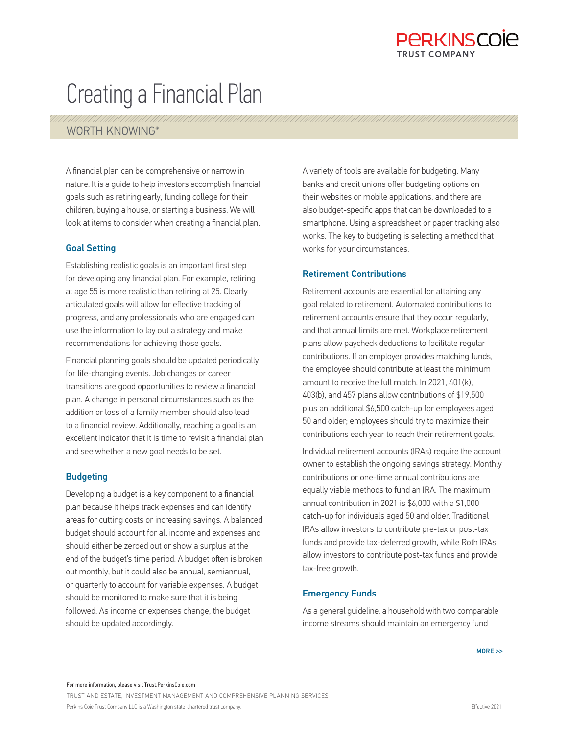## PARKINSCOIA TRUST COMPANY

# Creating a Financial Plan

### WORTH KNOWING®

A financial plan can be comprehensive or narrow in nature. It is a guide to help investors accomplish financial goals such as retiring early, funding college for their children, buying a house, or starting a business. We will look at items to consider when creating a financial plan.

#### Goal Setting

Establishing realistic goals is an important first step for developing any financial plan. For example, retiring at age 55 is more realistic than retiring at 25. Clearly articulated goals will allow for effective tracking of progress, and any professionals who are engaged can use the information to lay out a strategy and make recommendations for achieving those goals.

Financial planning goals should be updated periodically for life-changing events. Job changes or career transitions are good opportunities to review a financial plan. A change in personal circumstances such as the addition or loss of a family member should also lead to a financial review. Additionally, reaching a goal is an excellent indicator that it is time to revisit a financial plan and see whether a new goal needs to be set.

#### **Budgeting**

Developing a budget is a key component to a financial plan because it helps track expenses and can identify areas for cutting costs or increasing savings. A balanced budget should account for all income and expenses and should either be zeroed out or show a surplus at the end of the budget's time period. A budget often is broken out monthly, but it could also be annual, semiannual, or quarterly to account for variable expenses. A budget should be monitored to make sure that it is being followed. As income or expenses change, the budget should be updated accordingly.

A variety of tools are available for budgeting. Many banks and credit unions offer budgeting options on their websites or mobile applications, and there are also budget-specific apps that can be downloaded to a smartphone. Using a spreadsheet or paper tracking also works. The key to budgeting is selecting a method that works for your circumstances.

#### Retirement Contributions

Retirement accounts are essential for attaining any goal related to retirement. Automated contributions to retirement accounts ensure that they occur regularly, and that annual limits are met. Workplace retirement plans allow paycheck deductions to facilitate regular contributions. If an employer provides matching funds, the employee should contribute at least the minimum amount to receive the full match. In 2021, 401(k), 403(b), and 457 plans allow contributions of \$19,500 plus an additional \$6,500 catch-up for employees aged 50 and older; employees should try to maximize their contributions each year to reach their retirement goals.

Individual retirement accounts (IRAs) require the account owner to establish the ongoing savings strategy. Monthly contributions or one-time annual contributions are equally viable methods to fund an IRA. The maximum annual contribution in 2021 is \$6,000 with a \$1,000 catch-up for individuals aged 50 and older. Traditional IRAs allow investors to contribute pre-tax or post-tax funds and provide tax-deferred growth, while Roth IRAs allow investors to contribute post-tax funds and provide tax-free growth.

#### Emergency Funds

As a general guideline, a household with two comparable income streams should maintain an emergency fund

TRUST AND ESTATE, INVESTMENT MANAGEMENT AND COMPREHENSIVE PLANNING SERVICES Perkins Coie Trust Company LLC is a Washington state-chartered trust company.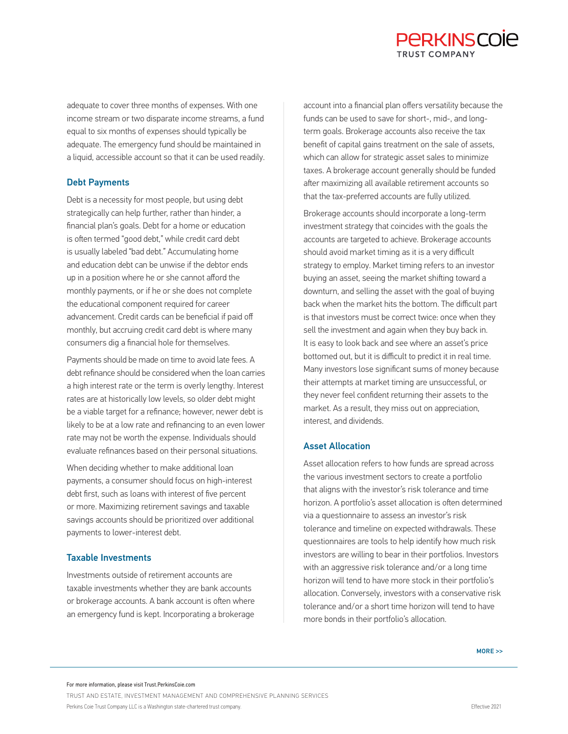## PARKINSCOIA TRUST COMPANY

adequate to cover three months of expenses. With one income stream or two disparate income streams, a fund equal to six months of expenses should typically be adequate. The emergency fund should be maintained in a liquid, accessible account so that it can be used readily.

#### Debt Payments

Debt is a necessity for most people, but using debt strategically can help further, rather than hinder, a financial plan's goals. Debt for a home or education is often termed "good debt," while credit card debt is usually labeled "bad debt." Accumulating home and education debt can be unwise if the debtor ends up in a position where he or she cannot afford the monthly payments, or if he or she does not complete the educational component required for career advancement. Credit cards can be beneficial if paid off monthly, but accruing credit card debt is where many consumers dig a financial hole for themselves.

Payments should be made on time to avoid late fees. A debt refinance should be considered when the loan carries a high interest rate or the term is overly lengthy. Interest rates are at historically low levels, so older debt might be a viable target for a refinance; however, newer debt is likely to be at a low rate and refinancing to an even lower rate may not be worth the expense. Individuals should evaluate refinances based on their personal situations.

When deciding whether to make additional loan payments, a consumer should focus on high-interest debt first, such as loans with interest of five percent or more. Maximizing retirement savings and taxable savings accounts should be prioritized over additional payments to lower-interest debt.

#### Taxable Investments

Investments outside of retirement accounts are taxable investments whether they are bank accounts or brokerage accounts. A bank account is often where an emergency fund is kept. Incorporating a brokerage

account into a financial plan offers versatility because the funds can be used to save for short-, mid-, and longterm goals. Brokerage accounts also receive the tax benefit of capital gains treatment on the sale of assets, which can allow for strategic asset sales to minimize taxes. A brokerage account generally should be funded after maximizing all available retirement accounts so that the tax-preferred accounts are fully utilized.

Brokerage accounts should incorporate a long-term investment strategy that coincides with the goals the accounts are targeted to achieve. Brokerage accounts should avoid market timing as it is a very difficult strategy to employ. Market timing refers to an investor buying an asset, seeing the market shifting toward a downturn, and selling the asset with the goal of buying back when the market hits the bottom. The difficult part is that investors must be correct twice: once when they sell the investment and again when they buy back in. It is easy to look back and see where an asset's price bottomed out, but it is difficult to predict it in real time. Many investors lose significant sums of money because their attempts at market timing are unsuccessful, or they never feel confident returning their assets to the market. As a result, they miss out on appreciation, interest, and dividends.

#### Asset Allocation

Asset allocation refers to how funds are spread across the various investment sectors to create a portfolio that aligns with the investor's risk tolerance and time horizon. A portfolio's asset allocation is often determined via a questionnaire to assess an investor's risk tolerance and timeline on expected withdrawals. These questionnaires are tools to help identify how much risk investors are willing to bear in their portfolios. Investors with an aggressive risk tolerance and/or a long time horizon will tend to have more stock in their portfolio's allocation. Conversely, investors with a conservative risk tolerance and/or a short time horizon will tend to have more bonds in their portfolio's allocation.

TRUST AND ESTATE, INVESTMENT MANAGEMENT AND COMPREHENSIVE PLANNING SERVICES Perkins Coie Trust Company LLC is a Washington state-chartered trust company.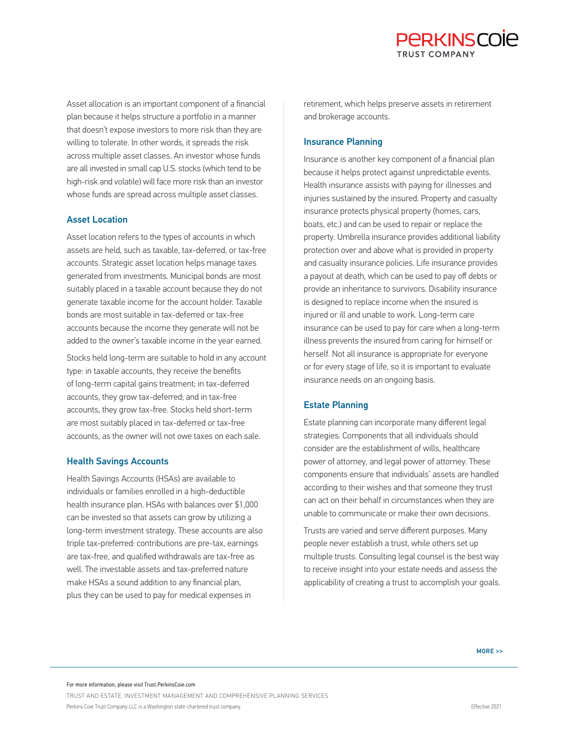Asset allocation is an important component of a financial plan because it helps structure a portfolio in a manner that doesn't expose investors to more risk than they are willing to tolerate. In other words, it spreads the risk across multiple asset classes. An investor whose funds are all invested in small cap U.S. stocks (which tend to be high-risk and volatile) will face more risk than an investor whose funds are spread across multiple asset classes.

#### Asset Location

Asset location refers to the types of accounts in which assets are held, such as taxable, tax-deferred, or tax-free accounts. Strategic asset location helps manage taxes generated from investments. Municipal bonds are most suitably placed in a taxable account because they do not generate taxable income for the account holder. Taxable bonds are most suitable in tax-deferred or tax-free accounts because the income they generate will not be added to the owner's taxable income in the year earned.

Stocks held long-term are suitable to hold in any account type: in taxable accounts, they receive the benefits of long-term capital gains treatment; in tax-deferred accounts, they grow tax-deferred; and in tax-free accounts, they grow tax-free. Stocks held short-term are most suitably placed in tax-deferred or tax-free accounts, as the owner will not owe taxes on each sale.

#### Health Savings Accounts

Health Savings Accounts (HSAs) are available to individuals or families enrolled in a high-deductible health insurance plan. HSAs with balances over \$1,000 can be invested so that assets can grow by utilizing a long-term investment strategy. These accounts are also triple tax-preferred: contributions are pre-tax, earnings are tax-free, and qualified withdrawals are tax-free as well. The investable assets and tax-preferred nature make HSAs a sound addition to any financial plan, plus they can be used to pay for medical expenses in

retirement, which helps preserve assets in retirement and brokerage accounts.

#### Insurance Planning

Insurance is another key component of a financial plan because it helps protect against unpredictable events. Health insurance assists with paying for illnesses and injuries sustained by the insured. Property and casualty insurance protects physical property (homes, cars, boats, etc.) and can be used to repair or replace the property. Umbrella insurance provides additional liability protection over and above what is provided in property and casualty insurance policies. Life insurance provides a payout at death, which can be used to pay off debts or provide an inheritance to survivors. Disability insurance is designed to replace income when the insured is injured or ill and unable to work. Long-term care insurance can be used to pay for care when a long-term illness prevents the insured from caring for himself or herself. Not all insurance is appropriate for everyone or for every stage of life, so it is important to evaluate insurance needs on an ongoing basis.

#### Estate Planning

Estate planning can incorporate many different legal strategies. Components that all individuals should consider are the establishment of wills, healthcare power of attorney, and legal power of attorney. These components ensure that individuals' assets are handled according to their wishes and that someone they trust can act on their behalf in circumstances when they are unable to communicate or make their own decisions.

Trusts are varied and serve different purposes. Many people never establish a trust, while others set up multiple trusts. Consulting legal counsel is the best way to receive insight into your estate needs and assess the applicability of creating a trust to accomplish your goals.